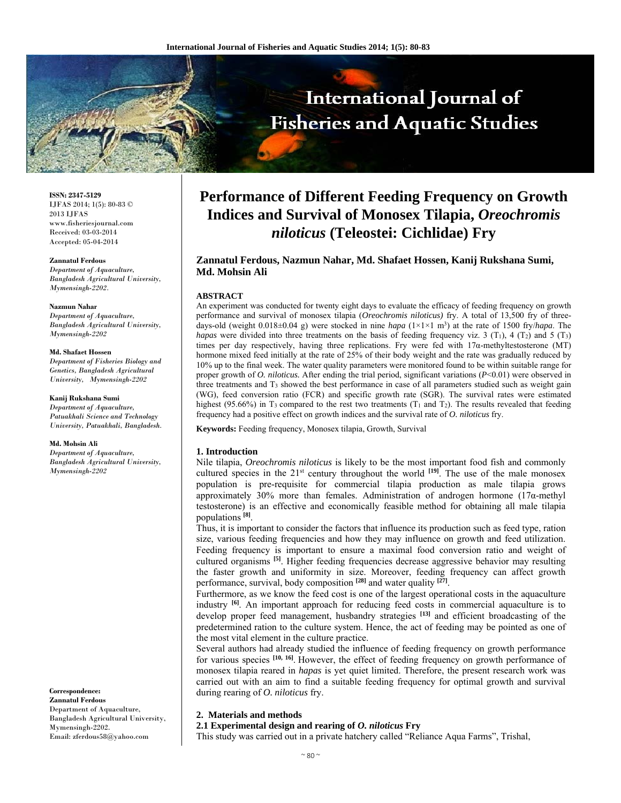

**ISSN: 2347-5129** IJFAS 2014; 1(5): 80-83 © 2013 IJFAS www.fisheriesjournal.com Received: 03-03-2014 Accepted: 05-04-2014

#### **Zannatul Ferdous**

*Department of Aquaculture, Bangladesh Agricultural University, Mymensingh-2202.*

#### **Nazmun Nahar**

*Department of Aquaculture, Bangladesh Agricultural University, Mymensingh-2202* 

#### **Md. Shafaet Hossen**

*Department of Fisheries Biology and Genetics, Bangladesh Agricultural University, Mymensingh-2202* 

**Kanij Rukshana Sumi** 

*Department of Aquaculture, Patuakhali Science and Technology University, Patuakhali, Bangladesh.* 

#### **Md. Mohsin Ali**

*Department of Aquaculture, Bangladesh Agricultural University, Mymensingh-2202* 

**Correspondence: Zannatul Ferdous** Department of Aquaculture, Bangladesh Agricultural University, Mymensingh-2202. Email: zferdous58@yahoo.com

# **Performance of Different Feeding Frequency on Growth Indices and Survival of Monosex Tilapia,** *Oreochromis niloticus* **(Teleostei: Cichlidae) Fry**

# **Zannatul Ferdous, Nazmun Nahar, Md. Shafaet Hossen, Kanij Rukshana Sumi, Md. Mohsin Ali**

### **ABSTRACT**

An experiment was conducted for twenty eight days to evaluate the efficacy of feeding frequency on growth performance and survival of monosex tilapia (*Oreochromis niloticus)* fry. A total of 13,500 fry of threedays-old (weight 0.018±0.04 g) were stocked in nine *hapa* (1×1×1 m3 ) at the rate of 1500 fry/*hapa*. The *hapas* were divided into three treatments on the basis of feeding frequency viz. 3 (T<sub>1</sub>), 4 (T<sub>2</sub>) and 5 (T<sub>3</sub>) times per day respectively, having three replications. Fry were fed with  $17\alpha$ -methyltestosterone (MT) hormone mixed feed initially at the rate of 25% of their body weight and the rate was gradually reduced by 10% up to the final week. The water quality parameters were monitored found to be within suitable range for proper growth of *O. niloticus.* After ending the trial period, significant variations (*P*<0.01) were observed in three treatments and  $T_3$  showed the best performance in case of all parameters studied such as weight gain (WG), feed conversion ratio (FCR) and specific growth rate (SGR). The survival rates were estimated highest (95.66%) in T<sub>3</sub> compared to the rest two treatments (T<sub>1</sub> and T<sub>2</sub>). The results revealed that feeding frequency had a positive effect on growth indices and the survival rate of *O. niloticus* fry.

**Keywords:** Feeding frequency, Monosex tilapia, Growth, Survival

#### **1. Introduction**

Nile tilapia, *Oreochromis niloticus* is likely to be the most important food fish and commonly cultured species in the 21<sup>st</sup> century throughout the world <sup>[19]</sup>. The use of the male monosex population is pre-requisite for commercial tilapia production as male tilapia grows approximately 30% more than females. Administration of androgen hormone  $(17\alpha$ -methyl testosterone) is an effective and economically feasible method for obtaining all male tilapia populations **[8]**.

Thus, it is important to consider the factors that influence its production such as feed type, ration size, various feeding frequencies and how they may influence on growth and feed utilization. Feeding frequency is important to ensure a maximal food conversion ratio and weight of cultured organisms **[5]**. Higher feeding frequencies decrease aggressive behavior may resulting the faster growth and uniformity in size. Moreover, feeding frequency can affect growth performance, survival, body composition **[28]** and water quality **[27]**.

Furthermore, as we know the feed cost is one of the largest operational costs in the aquaculture industry **[6]**. An important approach for reducing feed costs in commercial aquaculture is to develop proper feed management, husbandry strategies **[13]** and efficient broadcasting of the predetermined ration to the culture system. Hence, the act of feeding may be pointed as one of the most vital element in the culture practice.

Several authors had already studied the influence of feeding frequency on growth performance for various species **[10, 16]**. However, the effect of feeding frequency on growth performance of monosex tilapia reared in *hapas* is yet quiet limited. Therefore, the present research work was carried out with an aim to find a suitable feeding frequency for optimal growth and survival during rearing of *O. niloticus* fry.

## **2. Materials and methods**

## **2.1 Experimental design and rearing of** *O. niloticus* **Fry**

This study was carried out in a private hatchery called "Reliance Aqua Farms", Trishal,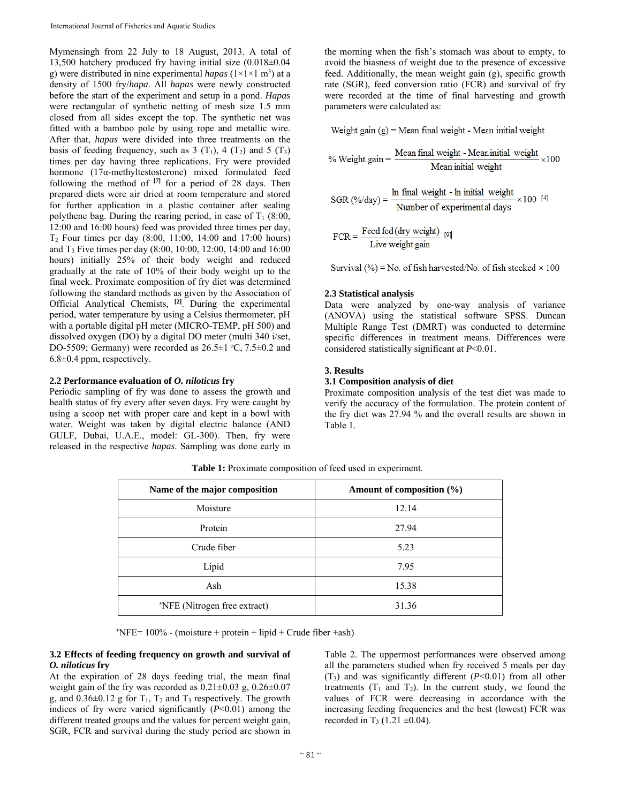Mymensingh from 22 July to 18 August, 2013. A total of 13,500 hatchery produced fry having initial size (0.018±0.04 g) were distributed in nine experimental *hapas*  $(1 \times 1 \times 1 \text{ m}^3)$  at a density of 1500 fry/*hapa*. All *hapas* were newly constructed before the start of the experiment and setup in a pond. *Hapas* were rectangular of synthetic netting of mesh size 1.5 mm closed from all sides except the top. The synthetic net was fitted with a bamboo pole by using rope and metallic wire. After that, *hapas* were divided into three treatments on the basis of feeding frequency, such as  $3(T_1)$ ,  $4(T_2)$  and  $5(T_3)$ times per day having three replications. Fry were provided hormone (17α-methyltestosterone) mixed formulated feed following the method of **[7]** for a period of 28 days. Then prepared diets were air dried at room temperature and stored for further application in a plastic container after sealing polythene bag. During the rearing period, in case of  $T_1$  (8:00, 12:00 and 16:00 hours) feed was provided three times per day, T2 Four times per day (8:00, 11:00, 14:00 and 17:00 hours) and T3 Five times per day (8:00, 10:00, 12:00, 14:00 and 16:00 hours) initially 25% of their body weight and reduced gradually at the rate of 10% of their body weight up to the final week. Proximate composition of fry diet was determined following the standard methods as given by the Association of Official Analytical Chemists, **[2]**. During the experimental period, water temperature by using a Celsius thermometer, pH with a portable digital pH meter (MICRO-TEMP, pH 500) and dissolved oxygen (DO) by a digital DO meter (multi 340 i/set, DO-5509; Germany) were recorded as  $26.5 \pm 1$  °C,  $7.5 \pm 0.2$  and 6.8±0.4 ppm, respectively.

#### **2.2 Performance evaluation of** *O. niloticus* **fry**

Periodic sampling of fry was done to assess the growth and health status of fry every after seven days. Fry were caught by using a scoop net with proper care and kept in a bowl with water. Weight was taken by digital electric balance (AND GULF, Dubai, U.A.E., model: GL-300). Then, fry were released in the respective *hapas*. Sampling was done early in

the morning when the fish's stomach was about to empty, to avoid the biasness of weight due to the presence of excessive feed. Additionally, the mean weight gain (g), specific growth rate (SGR), feed conversion ratio (FCR) and survival of fry were recorded at the time of final harvesting and growth parameters were calculated as:

Weight gain  $(g)$  = Mean final weight - Mean initial weight

% Weight gain =  $\frac{\text{Mean final weight - Mean initial weight}}{\text{Mean initial weight}} \times 100$ 

$$
SGR (\% / day) = \frac{\text{ln final weight - ln initial weight}}{\text{Number of experimental days}} \times 100^{[4]}
$$

 $FCR = \frac{Feed fed(dy weight)}{Live weight gain}$ 

Survival (%) = No. of fish harvested/No. of fish stocked  $\times$  100

### **2.3 Statistical analysis**

Data were analyzed by one-way analysis of variance (ANOVA) using the statistical software SPSS. Duncan Multiple Range Test (DMRT) was conducted to determine specific differences in treatment means. Differences were considered statistically significant at *P*<0.01.

## **3. Results**

# **3.1 Composition analysis of diet**

Proximate composition analysis of the test diet was made to verify the accuracy of the formulation. The protein content of the fry diet was 27.94 % and the overall results are shown in Table 1.

| Name of the major composition | Amount of composition (%) |  |  |
|-------------------------------|---------------------------|--|--|
| Moisture                      | 12.14                     |  |  |
| Protein                       | 27.94                     |  |  |
| Crude fiber                   | 5.23                      |  |  |
| Lipid                         | 7.95                      |  |  |
| Ash                           | 15.38                     |  |  |
| *NFE (Nitrogen free extract)  | 31.36                     |  |  |

**Table 1:** Proximate composition of feed used in experiment.

the contract of the contract of the state of  $NFE= 100\%$  - (moisture + protein + lipid + Crude fiber +ash)

#### **3.2 Effects of feeding frequency on growth and survival of**  *O. niloticus* **fry**

At the expiration of 28 days feeding trial, the mean final weight gain of the fry was recorded as  $0.21 \pm 0.03$  g,  $0.26 \pm 0.07$ g, and  $0.36\pm0.12$  g for  $T_1$ ,  $T_2$  and  $T_3$  respectively. The growth indices of fry were varied significantly (*P*<0.01) among the different treated groups and the values for percent weight gain, SGR, FCR and survival during the study period are shown in Table 2. The uppermost performances were observed among all the parameters studied when fry received 5 meals per day  $(T_3)$  and was significantly different  $(P<0.01)$  from all other treatments  $(T_1$  and  $T_2)$ . In the current study, we found the values of FCR were decreasing in accordance with the increasing feeding frequencies and the best (lowest) FCR was recorded in T<sub>3</sub> (1.21  $\pm$ 0.04).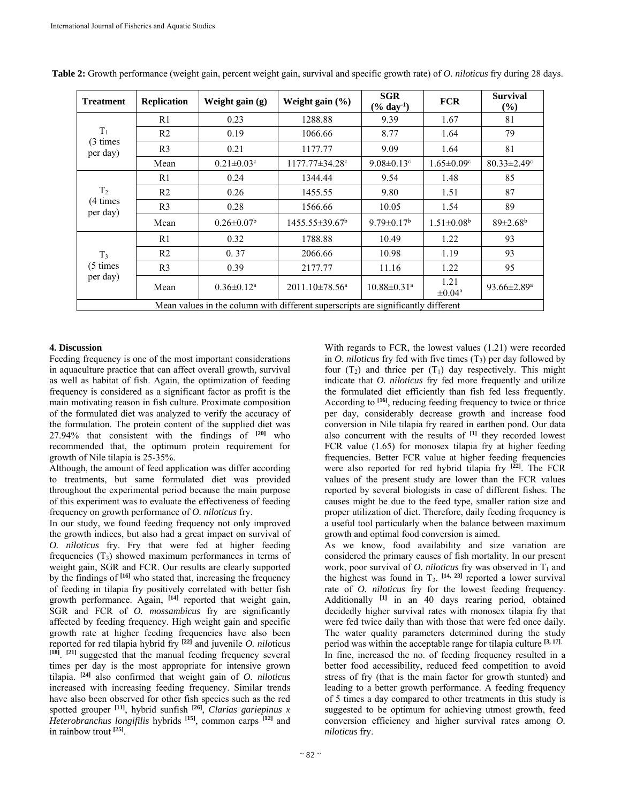| <b>Treatment</b>                                                                  | <b>Replication</b> | Weight gain (g)              | Weight gain $(\% )$        | SGR<br>$(\%$ day <sup>-1</sup> ) | <b>FCR</b>                      | <b>Survival</b><br>$(\%)$     |  |
|-----------------------------------------------------------------------------------|--------------------|------------------------------|----------------------------|----------------------------------|---------------------------------|-------------------------------|--|
| $T_1$<br>(3 times)<br>per day)                                                    | R1                 | 0.23                         | 1288.88                    | 9.39                             | 1.67                            | 81                            |  |
|                                                                                   | R <sub>2</sub>     | 0.19                         | 1066.66                    | 8.77                             | 1.64                            | 79                            |  |
|                                                                                   | R <sub>3</sub>     | 0.21                         | 1177.77                    | 9.09                             | 1.64                            | 81                            |  |
|                                                                                   | Mean               | $0.21 \pm 0.03$ <sup>c</sup> | $1177.77 \pm 34.28$ c      | $9.08 \pm 0.13$ <sup>c</sup>     | $1.65 \pm 0.09$ <sup>c</sup>    | $80.33 \pm 2.49$ <sup>c</sup> |  |
| T <sub>2</sub><br>(4 times)<br>per day)                                           | R1                 | 0.24                         | 1344.44                    | 9.54                             | 1.48                            | 85                            |  |
|                                                                                   | R <sub>2</sub>     | 0.26                         | 1455.55                    | 9.80                             | 1.51                            | 87                            |  |
|                                                                                   | R <sub>3</sub>     | 0.28                         | 1566.66                    | 10.05                            | 1.54                            | 89                            |  |
|                                                                                   | Mean               | $0.26 \pm 0.07^b$            | $1455.55 \pm 39.67^b$      | $9.79 \pm 0.17^b$                | $1.51 \pm 0.08^b$               | $89 \pm 2.68$ <sup>b</sup>    |  |
| T <sub>3</sub><br>(5 times<br>per day)                                            | R1                 | 0.32                         | 1788.88                    | 10.49                            | 1.22                            | 93                            |  |
|                                                                                   | R <sub>2</sub>     | 0.37                         | 2066.66                    | 10.98                            | 1.19                            | 93                            |  |
|                                                                                   | R <sub>3</sub>     | 0.39                         | 2177.77                    | 11.16                            | 1.22                            | 95                            |  |
|                                                                                   | Mean               | $0.36 \pm 0.12$ <sup>a</sup> | 2011.10±78.56 <sup>a</sup> | $10.88 \pm 0.31$ <sup>a</sup>    | 1.21<br>$\pm 0.04$ <sup>a</sup> | 93.66 $\pm$ 2.89 <sup>a</sup> |  |
| Mean values in the column with different superscripts are significantly different |                    |                              |                            |                                  |                                 |                               |  |

**Table 2:** Growth performance (weight gain, percent weight gain, survival and specific growth rate) of *O. niloticus* fry during 28 days.

## **4. Discussion**

Feeding frequency is one of the most important considerations in aquaculture practice that can affect overall growth, survival as well as habitat of fish. Again, the optimization of feeding frequency is considered as a significant factor as profit is the main motivating reason in fish culture. Proximate composition of the formulated diet was analyzed to verify the accuracy of the formulation. The protein content of the supplied diet was 27.94% that consistent with the findings of **[20]** who recommended that, the optimum protein requirement for growth of Nile tilapia is 25-35%.

Although, the amount of feed application was differ according to treatments, but same formulated diet was provided throughout the experimental period because the main purpose of this experiment was to evaluate the effectiveness of feeding frequency on growth performance of *O. niloticus* fry.

In our study, we found feeding frequency not only improved the growth indices, but also had a great impact on survival of *O. niloticus* fry. Fry that were fed at higher feeding frequencies  $(T_3)$  showed maximum performances in terms of weight gain, SGR and FCR. Our results are clearly supported by the findings of **[16]** who stated that, increasing the frequency of feeding in tilapia fry positively correlated with better fish growth performance. Again, <sup>[14]</sup> reported that weight gain, SGR and FCR of *O. mossambicus* fry are significantly affected by feeding frequency. High weight gain and specific growth rate at higher feeding frequencies have also been reported for red tilapia hybrid fry **[22]** and juvenile *O. nilo*ticus **[18]**. **[21]** suggested that the manual feeding frequency several times per day is the most appropriate for intensive grown tilapia. **[24]** also confirmed that weight gain of *O. niloticus* increased with increasing feeding frequency. Similar trends have also been observed for other fish species such as the red spotted grouper **[11]**, hybrid sunfish **[26]**, *Clarias gariepinus x Heterobranchus longifilis* hybrids **[15]**, common carps **[12]** and in rainbow trout **[25]**.

With regards to FCR, the lowest values (1.21) were recorded in *O. niloticus* fry fed with five times (T3) per day followed by four  $(T_2)$  and thrice per  $(T_1)$  day respectively. This might indicate that *O. niloticus* fry fed more frequently and utilize the formulated diet efficiently than fish fed less frequently. According to **[16]**, reducing feeding frequency to twice or thrice per day, considerably decrease growth and increase food conversion in Nile tilapia fry reared in earthen pond. Our data also concurrent with the results of **[1]** they recorded lowest FCR value (1.65) for monosex tilapia fry at higher feeding frequencies. Better FCR value at higher feeding frequencies were also reported for red hybrid tilapia fry **[22]**. The FCR values of the present study are lower than the FCR values reported by several biologists in case of different fishes. The causes might be due to the feed type, smaller ration size and proper utilization of diet. Therefore, daily feeding frequency is a useful tool particularly when the balance between maximum growth and optimal food conversion is aimed.

As we know, food availability and size variation are considered the primary causes of fish mortality. In our present work, poor survival of *O. niloticus* fry was observed in  $T_1$  and the highest was found in T3. **[14, 23]** reported a lower survival rate of *O. niloticus* fry for the lowest feeding frequency. Additionally **[1]** in an 40 days rearing period, obtained decidedly higher survival rates with monosex tilapia fry that were fed twice daily than with those that were fed once daily. The water quality parameters determined during the study period was within the acceptable range for tilapia culture **[3, 17]**. In fine, increased the no. of feeding frequency resulted in a better food accessibility, reduced feed competition to avoid stress of fry (that is the main factor for growth stunted) and leading to a better growth performance. A feeding frequency of 5 times a day compared to other treatments in this study is suggested to be optimum for achieving utmost growth, feed conversion efficiency and higher survival rates among *O. niloticus* fry.